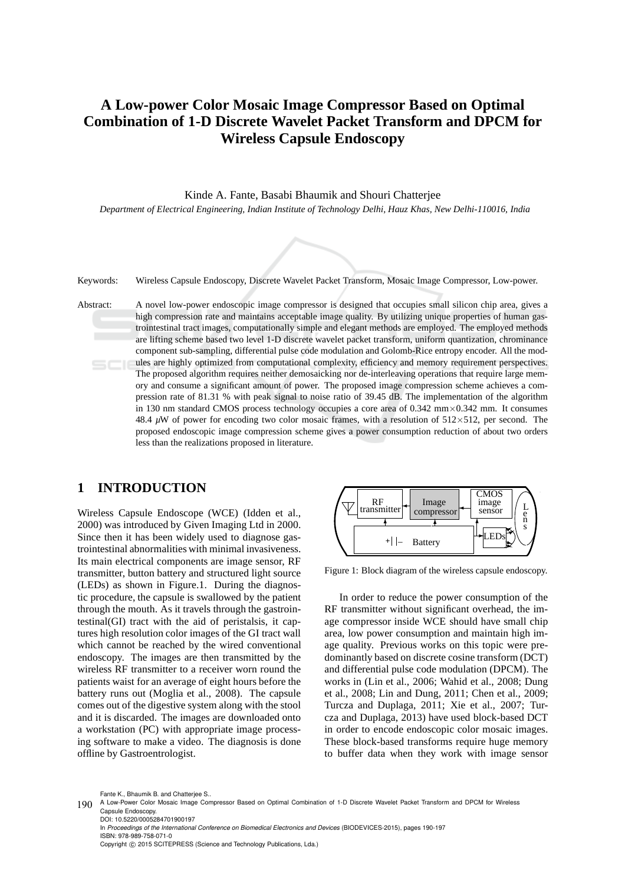# **A Low-power Color Mosaic Image Compressor Based on Optimal Combination of 1-D Discrete Wavelet Packet Transform and DPCM for Wireless Capsule Endoscopy**

Kinde A. Fante, Basabi Bhaumik and Shouri Chatterjee

*Department of Electrical Engineering, Indian Institute of Technology Delhi, Hauz Khas, New Delhi-110016, India*



Keywords: Wireless Capsule Endoscopy, Discrete Wavelet Packet Transform, Mosaic Image Compressor, Low-power.

Abstract: A novel low-power endoscopic image compressor is designed that occupies small silicon chip area, gives a high compression rate and maintains acceptable image quality. By utilizing unique properties of human gastrointestinal tract images, computationally simple and elegant methods are employed. The employed methods are lifting scheme based two level 1-D discrete wavelet packet transform, uniform quantization, chrominance component sub-sampling, differential pulse code modulation and Golomb-Rice entropy encoder. All the modules are highly optimized from computational complexity, efficiency and memory requirement perspectives. The proposed algorithm requires neither demosaicking nor de-interleaving operations that require large memory and consume a significant amount of power. The proposed image compression scheme achieves a compression rate of 81.31 % with peak signal to noise ratio of 39.45 dB. The implementation of the algorithm in 130 nm standard CMOS process technology occupies a core area of  $0.342 \text{ mm} \times 0.342 \text{ mm}$ . It consumes 48.4  $\mu$ W of power for encoding two color mosaic frames, with a resolution of 512×512, per second. The proposed endoscopic image compression scheme gives a power consumption reduction of about two orders less than the realizations proposed in literature.

#### **1 INTRODUCTION**

Wireless Capsule Endoscope (WCE) (Idden et al., 2000) was introduced by Given Imaging Ltd in 2000. Since then it has been widely used to diagnose gastrointestinal abnormalities with minimal invasiveness. Its main electrical components are image sensor, RF transmitter, button battery and structured light source (LEDs) as shown in Figure.1. During the diagnostic procedure, the capsule is swallowed by the patient through the mouth. As it travels through the gastrointestinal(GI) tract with the aid of peristalsis, it captures high resolution color images of the GI tract wall which cannot be reached by the wired conventional endoscopy. The images are then transmitted by the wireless RF transmitter to a receiver worn round the patients waist for an average of eight hours before the battery runs out (Moglia et al., 2008). The capsule comes out of the digestive system along with the stool and it is discarded. The images are downloaded onto a workstation (PC) with appropriate image processing software to make a video. The diagnosis is done offline by Gastroentrologist.



Figure 1: Block diagram of the wireless capsule endoscopy.

In order to reduce the power consumption of the RF transmitter without significant overhead, the image compressor inside WCE should have small chip area, low power consumption and maintain high image quality. Previous works on this topic were predominantly based on discrete cosine transform (DCT) and differential pulse code modulation (DPCM). The works in (Lin et al., 2006; Wahid et al., 2008; Dung et al., 2008; Lin and Dung, 2011; Chen et al., 2009; Turcza and Duplaga, 2011; Xie et al., 2007; Turcza and Duplaga, 2013) have used block-based DCT in order to encode endoscopic color mosaic images. These block-based transforms require huge memory to buffer data when they work with image sensor

Fante K., Bhaumik B. and Chatterjee S..

In *Proceedings of the International Conference on Biomedical Electronics and Devices* (BIODEVICES-2015), pages 190-197 ISBN: 978-989-758-071-0 Copyright © 2015 SCITEPRESS (Science and Technology Publications, Lda.)

<sup>190</sup> A Low-Power Color Mosaic Image Compressor Based on Optimal Combination of 1-D Discrete Wavelet Packet Transform and DPCM for Wireless Capsule Endoscopy. DOI: 10.5220/0005284701900197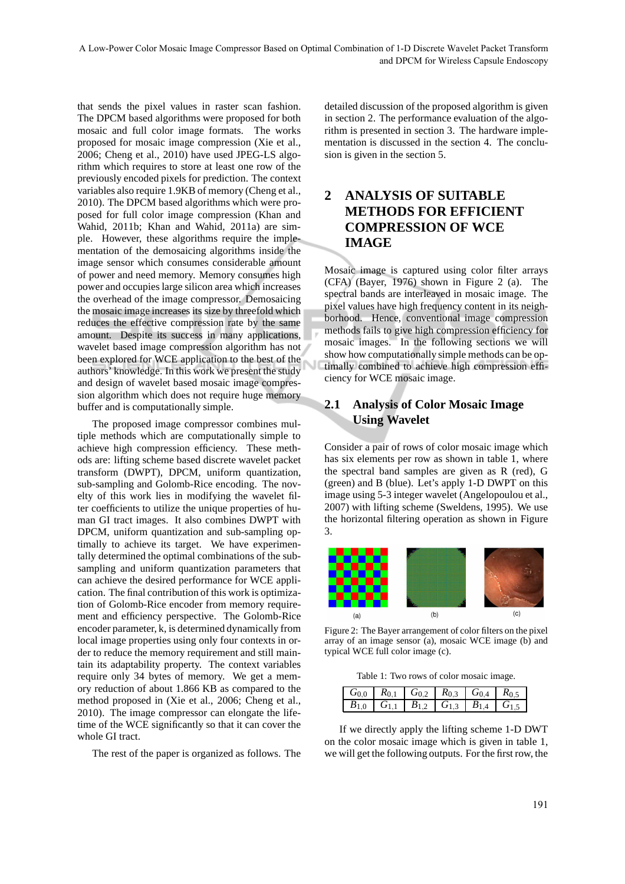that sends the pixel values in raster scan fashion. The DPCM based algorithms were proposed for both mosaic and full color image formats. The works proposed for mosaic image compression (Xie et al., 2006; Cheng et al., 2010) have used JPEG-LS algorithm which requires to store at least one row of the previously encoded pixels for prediction. The context variables also require 1.9KB of memory (Cheng et al., 2010). The DPCM based algorithms which were proposed for full color image compression (Khan and Wahid, 2011b; Khan and Wahid, 2011a) are simple. However, these algorithms require the implementation of the demosaicing algorithms inside the image sensor which consumes considerable amount of power and need memory. Memory consumes high power and occupies large silicon area which increases the overhead of the image compressor. Demosaicing the mosaic image increases its size by threefold which reduces the effective compression rate by the same amount. Despite its success in many applications, wavelet based image compression algorithm has not been explored for WCE application to the best of the authors' knowledge. In this work we present the study and design of wavelet based mosaic image compression algorithm which does not require huge memory buffer and is computationally simple.

The proposed image compressor combines multiple methods which are computationally simple to achieve high compression efficiency. These methods are: lifting scheme based discrete wavelet packet transform (DWPT), DPCM, uniform quantization, sub-sampling and Golomb-Rice encoding. The novelty of this work lies in modifying the wavelet filter coefficients to utilize the unique properties of human GI tract images. It also combines DWPT with DPCM, uniform quantization and sub-sampling optimally to achieve its target. We have experimentally determined the optimal combinations of the subsampling and uniform quantization parameters that can achieve the desired performance for WCE application. The final contribution of this work is optimization of Golomb-Rice encoder from memory requirement and efficiency perspective. The Golomb-Rice encoder parameter, k, is determined dynamically from local image properties using only four contexts in order to reduce the memory requirement and still maintain its adaptability property. The context variables require only 34 bytes of memory. We get a memory reduction of about 1.866 KB as compared to the method proposed in (Xie et al., 2006; Cheng et al., 2010). The image compressor can elongate the lifetime of the WCE significantly so that it can cover the whole GI tract.

The rest of the paper is organized as follows. The

detailed discussion of the proposed algorithm is given in section 2. The performance evaluation of the algorithm is presented in section 3. The hardware implementation is discussed in the section 4. The conclusion is given in the section 5.

## **2 ANALYSIS OF SUITABLE METHODS FOR EFFICIENT COMPRESSION OF WCE IMAGE**

Mosaic image is captured using color filter arrays (CFA) (Bayer, 1976) shown in Figure 2 (a). The spectral bands are interleaved in mosaic image. The pixel values have high frequency content in its neighborhood. Hence, conventional image compression methods fails to give high compression efficiency for mosaic images. In the following sections we will show how computationally simple methods can be optimally combined to achieve high compression efficiency for WCE mosaic image.

### **2.1 Analysis of Color Mosaic Image Using Wavelet**

Consider a pair of rows of color mosaic image which has six elements per row as shown in table 1, where the spectral band samples are given as R (red), G (green) and B (blue). Let's apply 1-D DWPT on this image using 5-3 integer wavelet (Angelopoulou et al., 2007) with lifting scheme (Sweldens, 1995). We use the horizontal filtering operation as shown in Figure 3.



Figure 2: The Bayer arrangement of color filters on the pixel array of an image sensor (a), mosaic WCE image (b) and typical WCE full color image (c).

Table 1: Two rows of color mosaic image.

| $G_{0,0}$ $R_{0,1}$ $G_{0,2}$ $R_{0,3}$ $G_{0,4}$ $R_{0,5}$ |  |  |
|-------------------------------------------------------------|--|--|
| $B_{1,0}$ $G_{1,1}$ $B_{1,2}$ $G_{1,3}$ $B_{1,4}$ $G_{1,5}$ |  |  |

If we directly apply the lifting scheme 1-D DWT on the color mosaic image which is given in table 1, we will get the following outputs. For the first row, the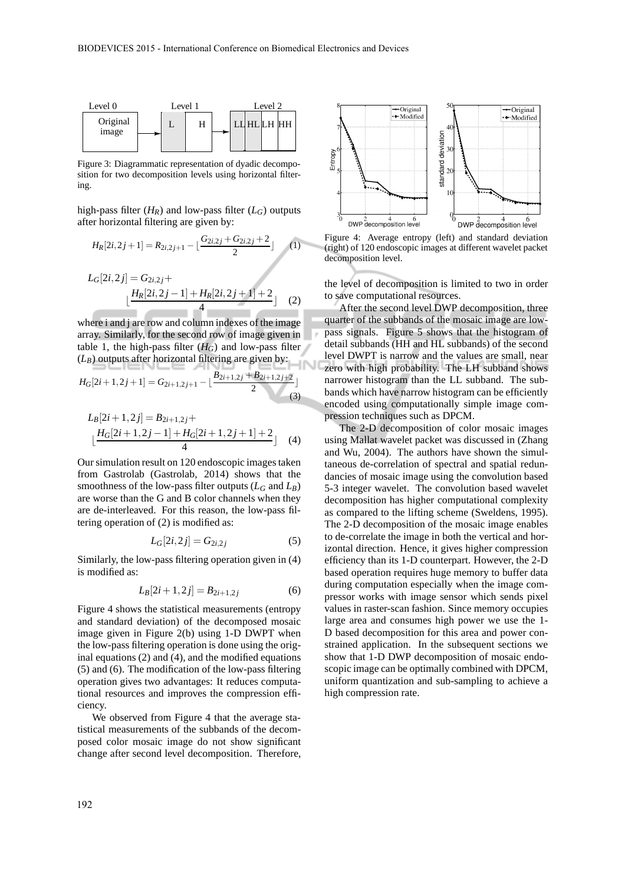

Figure 3: Diagrammatic representation of dyadic decomposition for two decomposition levels using horizontal filtering.

high-pass filter  $(H_R)$  and low-pass filter  $(L_G)$  outputs after horizontal filtering are given by:

$$
H_R[2i, 2j+1] = R_{2i,2j+1} - \lfloor \frac{G_{2i,2j} + G_{2i,2j} + 2}{2} \rfloor \tag{1}
$$
  

$$
L_G[2i, 2j] = G_{2i,2j} + \lfloor \frac{H_R[2i,2j-1] + H_R[2i,2j+1] + 2}{4} \rfloor \tag{2}
$$

where i and j are row and column indexes of the image array. Similarly, for the second row of image given in table 1, the high-pass filter  $(H_G)$  and low-pass filter  $(L_B)$  outputs after horizontal filtering are given by:

$$
H_G[2i+1,2j+1] = G_{2i+1,2j+1} - \lfloor \frac{B_{2i+1,2j} + B_{2i+1,2j+2}}{2} \rfloor
$$
\n(3)

$$
L_B[2i+1,2j] = B_{2i+1,2j} +
$$
  
\n
$$
\lfloor \frac{H_G[2i+1,2j-1] + H_G[2i+1,2j+1] + 2}{4} \rfloor
$$
 (4)

Our simulation result on 120 endoscopic images taken from Gastrolab (Gastrolab, 2014) shows that the smoothness of the low-pass filter outputs  $(L_G \text{ and } L_B)$ are worse than the G and B color channels when they are de-interleaved. For this reason, the low-pass filtering operation of (2) is modified as:

$$
L_G[2i, 2j] = G_{2i, 2j} \tag{5}
$$

Similarly, the low-pass filtering operation given in (4) is modified as:

$$
L_B[2i+1,2j] = B_{2i+1,2j} \tag{6}
$$

Figure 4 shows the statistical measurements (entropy and standard deviation) of the decomposed mosaic image given in Figure 2(b) using 1-D DWPT when the low-pass filtering operation is done using the original equations (2) and (4), and the modified equations (5) and (6). The modification of the low-pass filtering operation gives two advantages: It reduces computational resources and improves the compression efficiency.

We observed from Figure 4 that the average statistical measurements of the subbands of the decomposed color mosaic image do not show significant change after second level decomposition. Therefore,



Figure 4: Average entropy (left) and standard deviation (right) of 120 endoscopic images at different wavelet packet decomposition level.

the level of decomposition is limited to two in order to save computational resources.

After the second level DWP decomposition, three quarter of the subbands of the mosaic image are lowpass signals. Figure 5 shows that the histogram of detail subbands (HH and HL subbands) of the second level DWPT is narrow and the values are small, near zero with high probability. The LH subband shows narrower histogram than the LL subband. The subbands which have narrow histogram can be efficiently encoded using computationally simple image compression techniques such as DPCM.

The 2-D decomposition of color mosaic images using Mallat wavelet packet was discussed in (Zhang and Wu, 2004). The authors have shown the simultaneous de-correlation of spectral and spatial redundancies of mosaic image using the convolution based 5-3 integer wavelet. The convolution based wavelet decomposition has higher computational complexity as compared to the lifting scheme (Sweldens, 1995). The 2-D decomposition of the mosaic image enables to de-correlate the image in both the vertical and horizontal direction. Hence, it gives higher compression efficiency than its 1-D counterpart. However, the 2-D based operation requires huge memory to buffer data during computation especially when the image compressor works with image sensor which sends pixel values in raster-scan fashion. Since memory occupies large area and consumes high power we use the 1- D based decomposition for this area and power constrained application. In the subsequent sections we show that 1-D DWP decomposition of mosaic endoscopic image can be optimally combined with DPCM, uniform quantization and sub-sampling to achieve a high compression rate.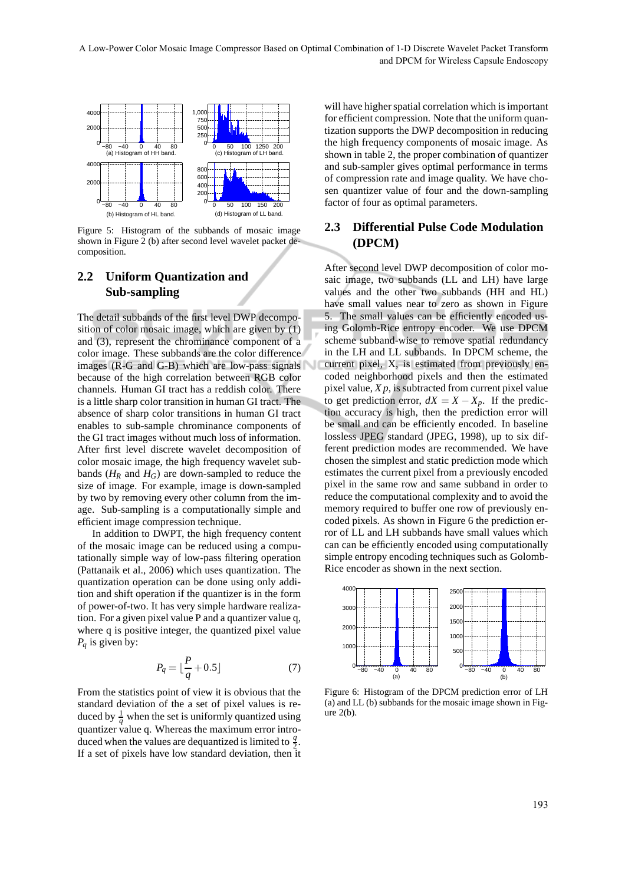

Figure 5: Histogram of the subbands of mosaic image shown in Figure 2 (b) after second level wavelet packet decomposition.

#### **2.2 Uniform Quantization and Sub-sampling**

The detail subbands of the first level DWP decomposition of color mosaic image, which are given by (1) and (3), represent the chrominance component of a color image. These subbands are the color difference images (R-G and G-B) which are low-pass signals because of the high correlation between RGB color channels. Human GI tract has a reddish color. There is a little sharp color transition in human GI tract. The absence of sharp color transitions in human GI tract enables to sub-sample chrominance components of the GI tract images without much loss of information. After first level discrete wavelet decomposition of color mosaic image, the high frequency wavelet subbands ( $H_R$  and  $H_G$ ) are down-sampled to reduce the size of image. For example, image is down-sampled by two by removing every other column from the image. Sub-sampling is a computationally simple and efficient image compression technique.

In addition to DWPT, the high frequency content of the mosaic image can be reduced using a computationally simple way of low-pass filtering operation (Pattanaik et al., 2006) which uses quantization. The quantization operation can be done using only addition and shift operation if the quantizer is in the form of power-of-two. It has very simple hardware realization. For a given pixel value P and a quantizer value q, where q is positive integer, the quantized pixel value *P<sup>q</sup>* is given by:

$$
P_q = \lfloor \frac{P}{q} + 0.5 \rfloor \tag{7}
$$

From the statistics point of view it is obvious that the standard deviation of the a set of pixel values is reduced by  $\frac{1}{q}$  when the set is uniformly quantized using quantizer value q. Whereas the maximum error introduced when the values are dequantized is limited to  $\frac{q}{2}$ . If a set of pixels have low standard deviation, then it

will have higher spatial correlation which is important for efficient compression. Note that the uniform quantization supports the DWP decomposition in reducing the high frequency components of mosaic image. As shown in table 2, the proper combination of quantizer and sub-sampler gives optimal performance in terms of compression rate and image quality. We have chosen quantizer value of four and the down-sampling factor of four as optimal parameters.

#### **2.3 Differential Pulse Code Modulation (DPCM)**

After second level DWP decomposition of color mosaic image, two subbands (LL and LH) have large values and the other two subbands (HH and HL) have small values near to zero as shown in Figure 5. The small values can be efficiently encoded using Golomb-Rice entropy encoder. We use DPCM scheme subband-wise to remove spatial redundancy in the LH and LL subbands. In DPCM scheme, the current pixel, X, is estimated from previously encoded neighborhood pixels and then the estimated pixel value,  $X p$ , is subtracted from current pixel value to get prediction error,  $dX = X - X_p$ . If the prediction accuracy is high, then the prediction error will be small and can be efficiently encoded. In baseline lossless JPEG standard (JPEG, 1998), up to six different prediction modes are recommended. We have chosen the simplest and static prediction mode which estimates the current pixel from a previously encoded pixel in the same row and same subband in order to reduce the computational complexity and to avoid the memory required to buffer one row of previously encoded pixels. As shown in Figure 6 the prediction error of LL and LH subbands have small values which can can be efficiently encoded using computationally simple entropy encoding techniques such as Golomb-Rice encoder as shown in the next section.



Figure 6: Histogram of the DPCM prediction error of LH (a) and LL (b) subbands for the mosaic image shown in Figure 2(b).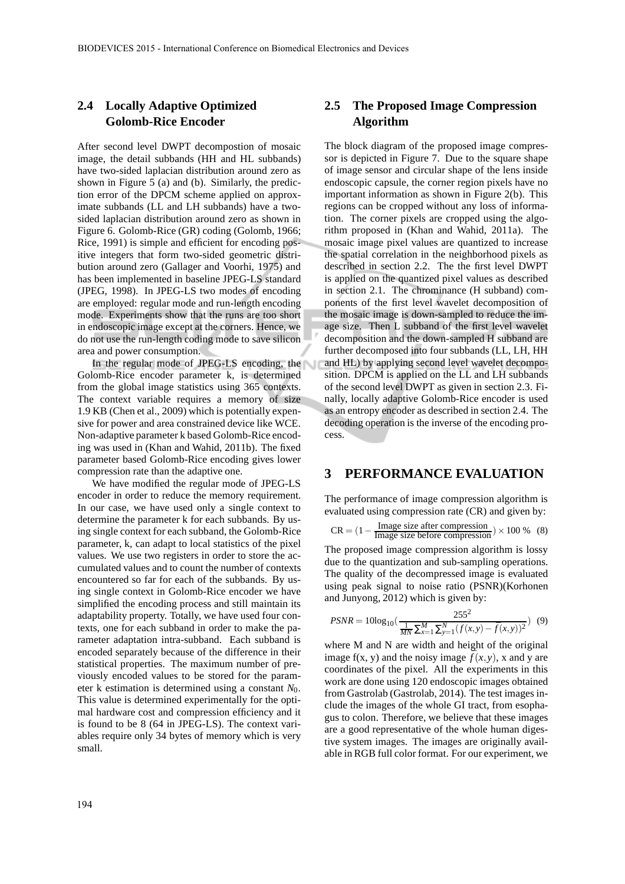#### **2.4 Locally Adaptive Optimized Golomb-Rice Encoder**

After second level DWPT decompostion of mosaic image, the detail subbands (HH and HL subbands) have two-sided laplacian distribution around zero as shown in Figure 5 (a) and (b). Similarly, the prediction error of the DPCM scheme applied on approximate subbands (LL and LH subbands) have a twosided laplacian distribution around zero as shown in Figure 6. Golomb-Rice (GR) coding (Golomb, 1966; Rice, 1991) is simple and efficient for encoding positive integers that form two-sided geometric distribution around zero (Gallager and Voorhi, 1975) and has been implemented in baseline JPEG-LS standard (JPEG, 1998). In JPEG-LS two modes of encoding are employed: regular mode and run-length encoding mode. Experiments show that the runs are too short in endoscopic image except at the corners. Hence, we do not use the run-length coding mode to save silicon area and power consumption.

In the regular mode of JPEG-LS encoding, the Golomb-Rice encoder parameter k, is determined from the global image statistics using 365 contexts. The context variable requires a memory of size 1.9 KB (Chen et al., 2009) which is potentially expensive for power and area constrained device like WCE. Non-adaptive parameter k based Golomb-Rice encoding was used in (Khan and Wahid, 2011b). The fixed parameter based Golomb-Rice encoding gives lower compression rate than the adaptive one.

We have modified the regular mode of JPEG-LS encoder in order to reduce the memory requirement. In our case, we have used only a single context to determine the parameter k for each subbands. By using single context for each subband, the Golomb-Rice parameter, k, can adapt to local statistics of the pixel values. We use two registers in order to store the accumulated values and to count the number of contexts encountered so far for each of the subbands. By using single context in Golomb-Rice encoder we have simplified the encoding process and still maintain its adaptability property. Totally, we have used four contexts, one for each subband in order to make the parameter adaptation intra-subband. Each subband is encoded separately because of the difference in their statistical properties. The maximum number of previously encoded values to be stored for the parameter k estimation is determined using a constant *N*0. This value is determined experimentally for the optimal hardware cost and compression efficiency and it is found to be 8 (64 in JPEG-LS). The context variables require only 34 bytes of memory which is very small.

#### **2.5 The Proposed Image Compression Algorithm**

The block diagram of the proposed image compressor is depicted in Figure 7. Due to the square shape of image sensor and circular shape of the lens inside endoscopic capsule, the corner region pixels have no important information as shown in Figure 2(b). This regions can be cropped without any loss of information. The corner pixels are cropped using the algorithm proposed in (Khan and Wahid, 2011a). The mosaic image pixel values are quantized to increase the spatial correlation in the neighborhood pixels as described in section 2.2. The the first level DWPT is applied on the quantized pixel values as described in section 2.1. The chrominance (H subband) components of the first level wavelet decomposition of the mosaic image is down-sampled to reduce the image size. Then L subband of the first level wavelet decomposition and the down-sampled H subband are further decomposed into four subbands (LL, LH, HH and HL) by applying second level wavelet decomposition. DPCM is applied on the LL and LH subbands of the second level DWPT as given in section 2.3. Finally, locally adaptive Golomb-Rice encoder is used as an entropy encoder as described in section 2.4. The decoding operation is the inverse of the encoding process.

#### **3 PERFORMANCE EVALUATION**

The performance of image compression algorithm is evaluated using compression rate (CR) and given by:

$$
CR = (1 - \frac{Image size after compression}{Image size before compression}) \times 100\% (8)
$$

The proposed image compression algorithm is lossy due to the quantization and sub-sampling operations. The quality of the decompressed image is evaluated using peak signal to noise ratio (PSNR)(Korhonen and Junyong, 2012) which is given by:

$$
PSNR = 10\log_{10}\left(\frac{255^2}{\frac{1}{MN}\sum_{x=1}^{M}\sum_{y=1}^{N}(f(x,y)-\bar{f}(x,y))^{2}}\right) (9)
$$

where M and N are width and height of the original image  $f(x, y)$  and the noisy image  $\bar{f}(x, y)$ , x and y are coordinates of the pixel. All the experiments in this work are done using 120 endoscopic images obtained from Gastrolab (Gastrolab, 2014). The test images include the images of the whole GI tract, from esophagus to colon. Therefore, we believe that these images are a good representative of the whole human digestive system images. The images are originally available in RGB full color format. For our experiment, we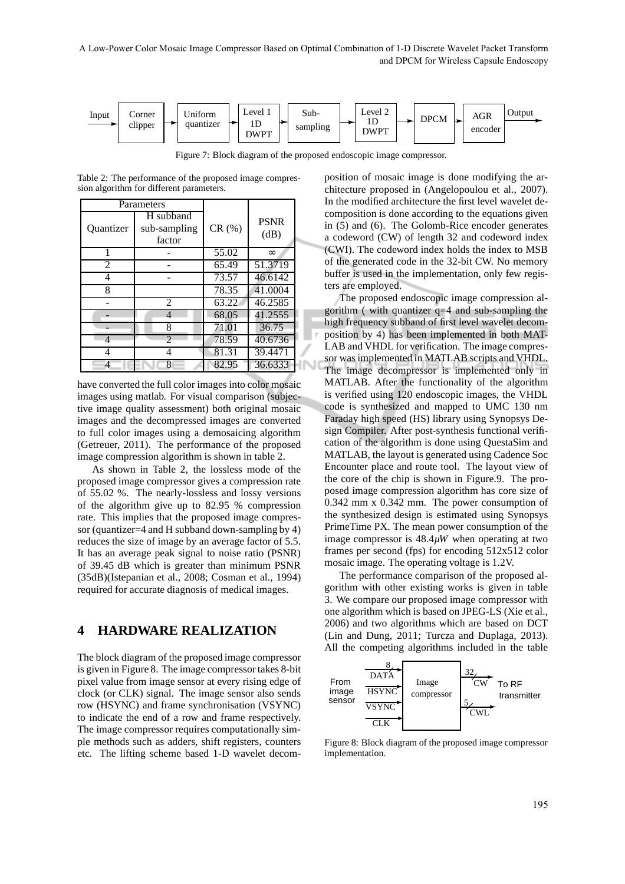

Figure 7: Block diagram of the proposed endoscopic image compressor.

Table 2: The performance of the proposed image compression algorithm for different parameters.

| Parameters       |                                     |                    |                     |
|------------------|-------------------------------------|--------------------|---------------------|
| <b>Ouantizer</b> | H subband<br>sub-sampling<br>factor | CR(%)              | <b>PSNR</b><br>(dB) |
| 1                |                                     | 55.02              | $\infty$            |
| $\mathfrak{D}$   |                                     | 65.49              | 51.3719             |
| 4                |                                     | 73.57              | 46.6142             |
| 8                |                                     | 78.35              | 41.0004             |
|                  | $\mathfrak{D}$                      | $63.\overline{22}$ | 46.2585             |
|                  | 4                                   | 68.05              | 41.2555             |
|                  | 8                                   | 71.01              | 36.75               |
| 4                | $\mathfrak{D}$                      | 78.59              | 40.6736             |
|                  | 4                                   | 81.31              | 39.4471             |
| 4                | 8                                   | 82.95              | 36.6333             |

have converted the full color images into color mosaic images using matlab. For visual comparison (subjective image quality assessment) both original mosaic images and the decompressed images are converted to full color images using a demosaicing algorithm (Getreuer, 2011). The performance of the proposed image compression algorithm is shown in table 2.

As shown in Table 2, the lossless mode of the proposed image compressor gives a compression rate of 55.02 %. The nearly-lossless and lossy versions of the algorithm give up to 82.95 % compression rate. This implies that the proposed image compressor (quantizer=4 and H subband down-sampling by 4) reduces the size of image by an average factor of 5.5. It has an average peak signal to noise ratio (PSNR) of 39.45 dB which is greater than minimum PSNR (35dB)(Istepanian et al., 2008; Cosman et al., 1994) required for accurate diagnosis of medical images.

#### **4 HARDWARE REALIZATION**

The block diagram of the proposed image compressor is given in Figure 8. The image compressor takes 8-bit pixel value from image sensor at every rising edge of clock (or CLK) signal. The image sensor also sends row (HSYNC) and frame synchronisation (VSYNC) to indicate the end of a row and frame respectively. The image compressor requires computationally simple methods such as adders, shift registers, counters etc. The lifting scheme based 1-D wavelet decomposition of mosaic image is done modifying the architecture proposed in (Angelopoulou et al., 2007). In the modified architecture the first level wavelet decomposition is done according to the equations given in (5) and (6). The Golomb-Rice encoder generates a codeword (CW) of length 32 and codeword index (CWI). The codeword index holds the index to MSB of the generated code in the 32-bit CW. No memory buffer is used in the implementation, only few registers are employed.

The proposed endoscopic image compression algorithm ( with quantizer q=4 and sub-sampling the high frequency subband of first level wavelet decomposition by 4) has been implemented in both MAT-LAB and VHDL for verification. The image compressor was implemented in MATLAB scripts and VHDL. The image decompressor is implemented only in MATLAB. After the functionality of the algorithm is verified using 120 endoscopic images, the VHDL code is synthesized and mapped to UMC 130 nm Faraday high speed (HS) library using Synopsys Design Compiler. After post-synthesis functional verification of the algorithm is done using QuestaSim and MATLAB, the layout is generated using Cadence Soc Encounter place and route tool. The layout view of the core of the chip is shown in Figure.9. The proposed image compression algorithm has core size of 0.342 mm x 0.342 mm. The power consumption of the synthesized design is estimated using Synopsys PrimeTime PX. The mean power consumption of the image compressor is 48.4*µW* when operating at two frames per second (fps) for encoding 512x512 color mosaic image. The operating voltage is 1.2V.

The performance comparison of the proposed algorithm with other existing works is given in table 3. We compare our proposed image compressor with one algorithm which is based on JPEG-LS (Xie et al., 2006) and two algorithms which are based on DCT (Lin and Dung, 2011; Turcza and Duplaga, 2013). All the competing algorithms included in the table



Figure 8: Block diagram of the proposed image compressor implementation.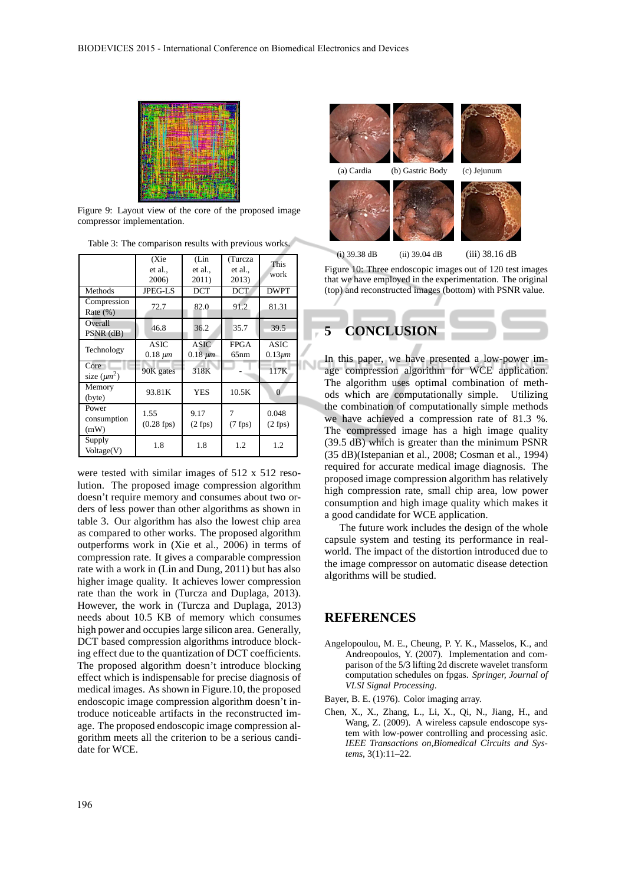

Figure 9: Layout view of the core of the proposed image compressor implementation.

|                              | (Xie<br>et al.,<br>2006)      | (Lin<br>et al.,<br>2011)      | (Turcza<br>et al.,<br>2013) | <b>This</b><br>work         |
|------------------------------|-------------------------------|-------------------------------|-----------------------------|-----------------------------|
| Methods                      | JPEG-LS                       | <b>DCT</b>                    | <b>DCT</b>                  | <b>DWPT</b>                 |
| Compression<br>Rate $(\% )$  | 72.7                          | 82.0                          | 91.2                        | 81.31                       |
| Overall<br>$PSNR$ (dB)       | 46.8                          | 36.2                          | 35.7                        | 39.5                        |
| Technology                   | <b>ASIC</b><br>$0.18 \ \mu m$ | <b>ASIC</b><br>$0.18 \ \mu m$ | <b>FPGA</b><br>65nm         | <b>ASIC</b><br>$0.13 \mu m$ |
| Core<br>size $(\mu m^2)$     | 90K gates                     | 318K                          |                             | 117K                        |
| Memory<br>(byte)             | 93.81K                        | <b>YES</b>                    | 10.5K                       | $\Omega$                    |
| Power<br>consumption<br>(mW) | 1.55<br>$(0.28$ fps)          | 9.17<br>$(2$ fps)             | 7<br>$(7$ fps)              | 0.048<br>$(2$ fps)          |
| Supply<br>Voltage(V)         | 1.8                           | 1.8                           | 1.2                         | 1.2                         |

Table 3: The comparison results with previous works.

were tested with similar images of 512 x 512 resolution. The proposed image compression algorithm doesn't require memory and consumes about two orders of less power than other algorithms as shown in table 3. Our algorithm has also the lowest chip area as compared to other works. The proposed algorithm outperforms work in (Xie et al., 2006) in terms of compression rate. It gives a comparable compression rate with a work in (Lin and Dung, 2011) but has also higher image quality. It achieves lower compression rate than the work in (Turcza and Duplaga, 2013). However, the work in (Turcza and Duplaga, 2013) needs about 10.5 KB of memory which consumes high power and occupies large silicon area. Generally, DCT based compression algorithms introduce blocking effect due to the quantization of DCT coefficients. The proposed algorithm doesn't introduce blocking effect which is indispensable for precise diagnosis of medical images. As shown in Figure.10, the proposed endoscopic image compression algorithm doesn't introduce noticeable artifacts in the reconstructed image. The proposed endoscopic image compression algorithm meets all the criterion to be a serious candidate for WCE.





(i)  $39.38$  dB (ii)  $39.04$  dB (iii)  $38.16$  dB

Figure 10: Three endoscopic images out of 120 test images that we have employed in the experimentation. The original (top) and reconstructed images (bottom) with PSNR value.



In this paper, we have presented a low-power image compression algorithm for WCE application. The algorithm uses optimal combination of methods which are computationally simple. Utilizing the combination of computationally simple methods we have achieved a compression rate of 81.3 %. The compressed image has a high image quality (39.5 dB) which is greater than the minimum PSNR (35 dB)(Istepanian et al., 2008; Cosman et al., 1994) required for accurate medical image diagnosis. The proposed image compression algorithm has relatively high compression rate, small chip area, low power consumption and high image quality which makes it a good candidate for WCE application.

The future work includes the design of the whole capsule system and testing its performance in realworld. The impact of the distortion introduced due to the image compressor on automatic disease detection algorithms will be studied.

#### **REFERENCES**

Angelopoulou, M. E., Cheung, P. Y. K., Masselos, K., and Andreopoulos, Y. (2007). Implementation and comparison of the 5/3 lifting 2d discrete wavelet transform computation schedules on fpgas. *Springer, Journal of VLSI Signal Processing*.

Bayer, B. E. (1976). Color imaging array.

Chen, X., X., Zhang, L., Li, X., Qi, N., Jiang, H., and Wang, Z. (2009). A wireless capsule endoscope system with low-power controlling and processing asic. *IEEE Transactions on,Biomedical Circuits and Systems*, 3(1):11–22.